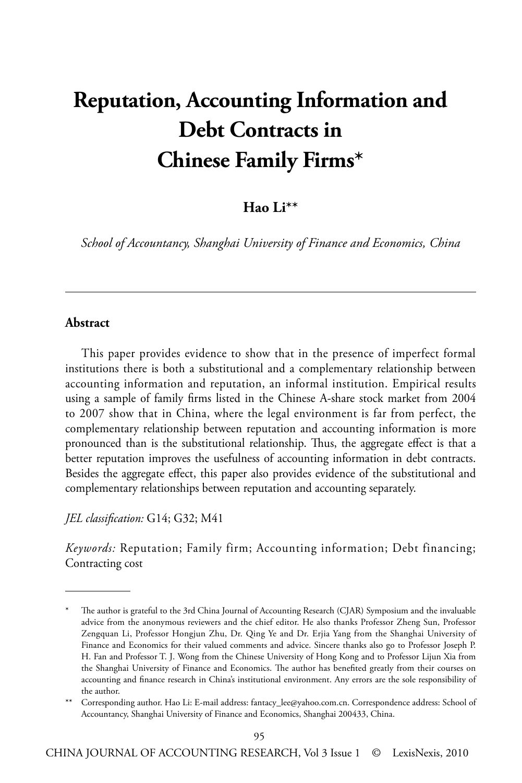# **Reputation, Accounting Information and Debt Contracts in Chinese Family Firms\***

### **Hao Li\*\***

*School of Accountancy, Shanghai University of Finance and Economics, China*

#### **Abstract**

This paper provides evidence to show that in the presence of imperfect formal institutions there is both a substitutional and a complementary relationship between accounting information and reputation, an informal institution. Empirical results using a sample of family firms listed in the Chinese A-share stock market from 2004 to 2007 show that in China, where the legal environment is far from perfect, the complementary relationship between reputation and accounting information is more pronounced than is the substitutional relationship. Thus, the aggregate effect is that a better reputation improves the usefulness of accounting information in debt contracts. Besides the aggregate effect, this paper also provides evidence of the substitutional and complementary relationships between reputation and accounting separately.

*JEL classification:* G14; G32; M41

*Keywords:* Reputation; Family firm; Accounting information; Debt financing; Contracting cost

<sup>\*</sup> The author is grateful to the 3rd China Journal of Accounting Research (CJAR) Symposium and the invaluable advice from the anonymous reviewers and the chief editor. He also thanks Professor Zheng Sun, Professor Zengquan Li, Professor Hongjun Zhu, Dr. Qing Ye and Dr. Erjia Yang from the Shanghai University of Finance and Economics for their valued comments and advice. Sincere thanks also go to Professor Joseph P. H. Fan and Professor T. J. Wong from the Chinese University of Hong Kong and to Professor Lijun Xia from the Shanghai University of Finance and Economics. The author has benefited greatly from their courses on accounting and finance research in China's institutional environment. Any errors are the sole responsibility of the author.

<sup>\*\*</sup> Corresponding author. Hao Li: E-mail address: fantacy\_lee@yahoo.com.cn. Correspondence address: School of Accountancy, Shanghai University of Finance and Economics, Shanghai 200433, China.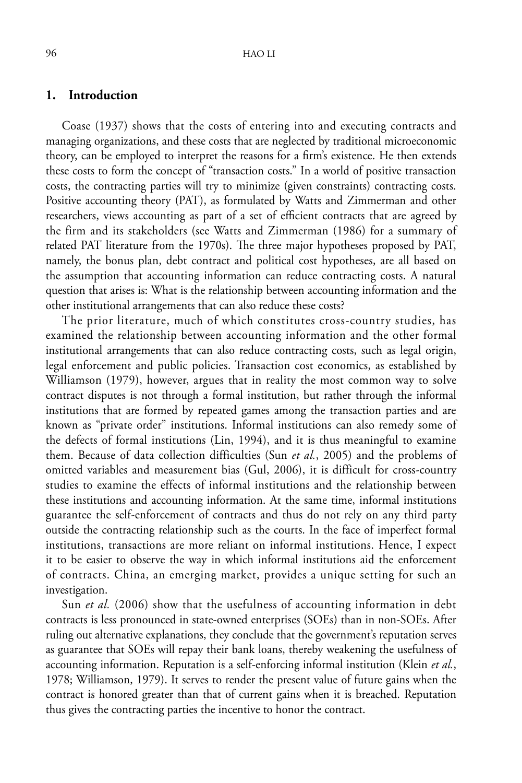#### **1. Introduction**

Coase (1937) shows that the costs of entering into and executing contracts and managing organizations, and these costs that are neglected by traditional microeconomic theory, can be employed to interpret the reasons for a firm's existence. He then extends these costs to form the concept of "transaction costs." In a world of positive transaction costs, the contracting parties will try to minimize (given constraints) contracting costs. Positive accounting theory (PAT), as formulated by Watts and Zimmerman and other researchers, views accounting as part of a set of efficient contracts that are agreed by the firm and its stakeholders (see Watts and Zimmerman (1986) for a summary of related PAT literature from the 1970s). The three major hypotheses proposed by PAT, namely, the bonus plan, debt contract and political cost hypotheses, are all based on the assumption that accounting information can reduce contracting costs. A natural question that arises is: What is the relationship between accounting information and the other institutional arrangements that can also reduce these costs?

The prior literature, much of which constitutes cross-country studies, has examined the relationship between accounting information and the other formal institutional arrangements that can also reduce contracting costs, such as legal origin, legal enforcement and public policies. Transaction cost economics, as established by Williamson (1979), however, argues that in reality the most common way to solve contract disputes is not through a formal institution, but rather through the informal institutions that are formed by repeated games among the transaction parties and are known as "private order" institutions. Informal institutions can also remedy some of the defects of formal institutions (Lin, 1994), and it is thus meaningful to examine them. Because of data collection difficulties (Sun *et al.*, 2005) and the problems of omitted variables and measurement bias (Gul, 2006), it is difficult for cross-country studies to examine the effects of informal institutions and the relationship between these institutions and accounting information. At the same time, informal institutions guarantee the self-enforcement of contracts and thus do not rely on any third party outside the contracting relationship such as the courts. In the face of imperfect formal institutions, transactions are more reliant on informal institutions. Hence, I expect it to be easier to observe the way in which informal institutions aid the enforcement of contracts. China, an emerging market, provides a unique setting for such an investigation.

Sun *et al.* (2006) show that the usefulness of accounting information in debt contracts is less pronounced in state-owned enterprises (SOEs) than in non-SOEs. After ruling out alternative explanations, they conclude that the government's reputation serves as guarantee that SOEs will repay their bank loans, thereby weakening the usefulness of accounting information. Reputation is a self-enforcing informal institution (Klein *et al.*, 1978; Williamson, 1979). It serves to render the present value of future gains when the contract is honored greater than that of current gains when it is breached. Reputation thus gives the contracting parties the incentive to honor the contract.